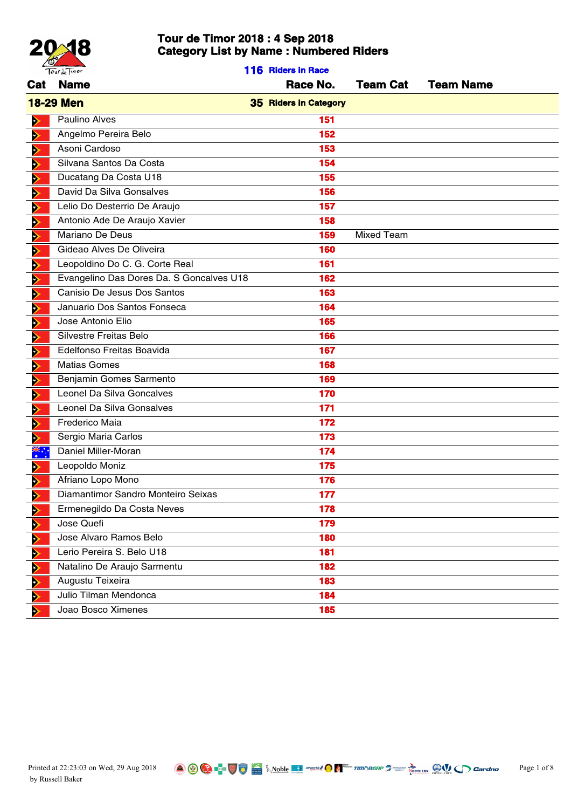

|                       | Tourde Timor                             | 116 Riders in Race           |                   |                  |
|-----------------------|------------------------------------------|------------------------------|-------------------|------------------|
|                       | Cat Name                                 | Race No.                     | <b>Team Cat</b>   | <b>Team Name</b> |
|                       | <b>18-29 Men</b>                         | <b>35 Riders in Category</b> |                   |                  |
| ⋗                     | Paulino Alves                            | 151                          |                   |                  |
| ⋗                     | Angelmo Pereira Belo                     | 152                          |                   |                  |
| ⋗                     | Asoni Cardoso                            | 153                          |                   |                  |
| ⋗                     | Silvana Santos Da Costa                  | 154                          |                   |                  |
| ⋗                     | Ducatang Da Costa U18                    | 155                          |                   |                  |
| ⋗                     | David Da Silva Gonsalves                 | 156                          |                   |                  |
| ⋗                     | Lelio Do Desterrio De Araujo             | 157                          |                   |                  |
| ⋗                     | Antonio Ade De Araujo Xavier             | 158                          |                   |                  |
| ⋗                     | Mariano De Deus                          | 159                          | <b>Mixed Team</b> |                  |
| ⋗                     | Gideao Alves De Oliveira                 | 160                          |                   |                  |
| ⋗                     | Leopoldino Do C. G. Corte Real           | 161                          |                   |                  |
| ⋗                     | Evangelino Das Dores Da. S Goncalves U18 | 162                          |                   |                  |
| ⋗                     | Canisio De Jesus Dos Santos              | 163                          |                   |                  |
| ⋗                     | Januario Dos Santos Fonseca              | 164                          |                   |                  |
| Ð                     | Jose Antonio Elio                        | 165                          |                   |                  |
| ⋗                     | Silvestre Freitas Belo                   | 166                          |                   |                  |
| ⋗                     | Edelfonso Freitas Boavida                | 167                          |                   |                  |
| ⋗                     | <b>Matias Gomes</b>                      | 168                          |                   |                  |
| ⋗                     | Benjamin Gomes Sarmento                  | 169                          |                   |                  |
| ⋗                     | Leonel Da Silva Goncalves                | 170                          |                   |                  |
| ⋗                     | Leonel Da Silva Gonsalves                | 171                          |                   |                  |
| ⋗                     | Frederico Maia                           | 172                          |                   |                  |
| ⋗                     | Sergio Maria Carlos                      | 173                          |                   |                  |
| 米·                    | Daniel Miller-Moran                      | 174                          |                   |                  |
| ⋗                     | Leopoldo Moniz                           | 175                          |                   |                  |
| Þ                     | Afriano Lopo Mono                        | 176                          |                   |                  |
| $\blacktriangleright$ | Diamantimor Sandro Monteiro Seixas       | 177                          |                   |                  |
| ⋗                     | Ermenegildo Da Costa Neves               | 178                          |                   |                  |
| Þ                     | Jose Quefi                               | 179                          |                   |                  |
| ⋗                     | Jose Alvaro Ramos Belo                   | 180                          |                   |                  |
| ⋗                     | Lerio Pereira S. Belo U18                | 181                          |                   |                  |
| ⋗                     | Natalino De Araujo Sarmentu              | 182                          |                   |                  |
| ⋗                     | Augustu Teixeira                         | 183                          |                   |                  |
| ⋗                     | Julio Tilman Mendonca                    | 184                          |                   |                  |
| D                     | Joao Bosco Ximenes                       | 185                          |                   |                  |

Printed at 22:23:03 on Wed, 29 Aug 2018 **Consumer Aug 2018** Resolution of 8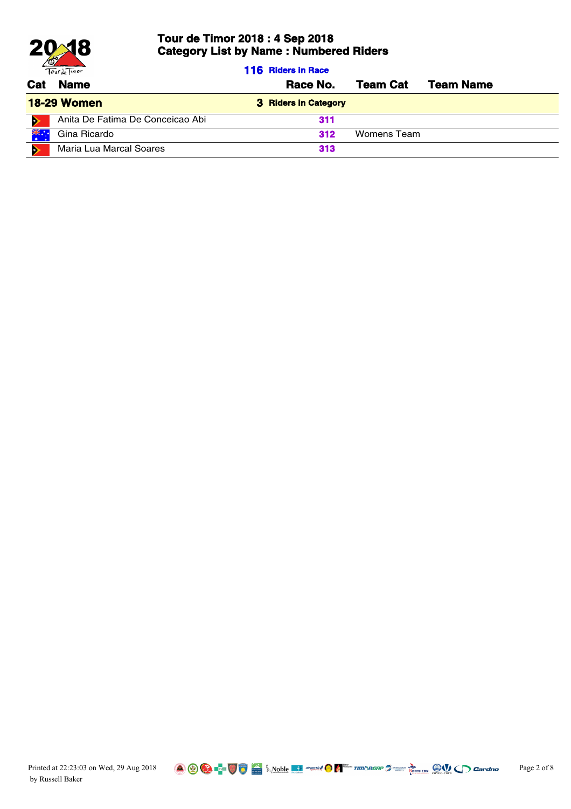

|     | Tourde Timor                     | <b>116 Riders in Race</b> |                 |                  |
|-----|----------------------------------|---------------------------|-----------------|------------------|
| Cat | <b>Name</b>                      | Race No.                  | <b>Team Cat</b> | <b>Team Name</b> |
|     | <b>18-29 Women</b>               | 3 Riders in Category      |                 |                  |
| o   | Anita De Fatima De Conceicao Abi | 311                       |                 |                  |
|     | Gina Ricardo                     | 312                       | Womens Team     |                  |
| ×.  | Maria Lua Marcal Soares          | 313                       |                 |                  |

Printed at 22:23:03 on Wed, 29 Aug 2018 **Canada Aug 2018** Page 2 of 8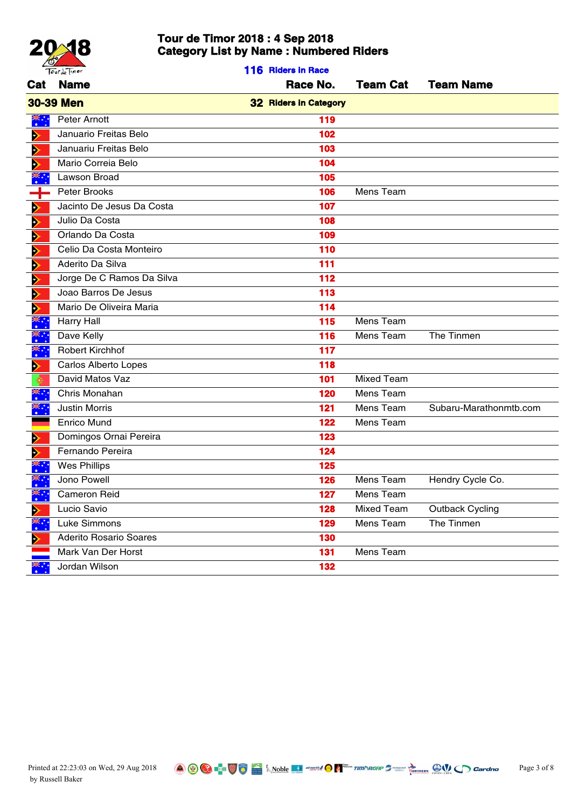

|            | Tourde Timor                  | 116 Riders in Race           |                   |                        |
|------------|-------------------------------|------------------------------|-------------------|------------------------|
| Cat        | <b>Name</b>                   | Race No.                     | <b>Team Cat</b>   | <b>Team Name</b>       |
|            | <b>30-39 Men</b>              | <b>32 Riders in Category</b> |                   |                        |
| ▓᠅         | Peter Arnott                  | 119                          |                   |                        |
| ⋗          | Januario Freitas Belo         | 102                          |                   |                        |
|            | Januariu Freitas Belo         | 103                          |                   |                        |
|            | Mario Correia Belo            | 104                          |                   |                        |
| *ٌ         | Lawson Broad                  | 105                          |                   |                        |
| ┵          | Peter Brooks                  | 106                          | Mens Team         |                        |
| Ð          | Jacinto De Jesus Da Costa     | 107                          |                   |                        |
| D          | Julio Da Costa                | 108                          |                   |                        |
| Ð          | Orlando Da Costa              | 109                          |                   |                        |
| ⋗          | Celio Da Costa Monteiro       | 110                          |                   |                        |
|            | Aderito Da Silva              | 111                          |                   |                        |
|            | Jorge De C Ramos Da Silva     | 112                          |                   |                        |
| Ð          | Joao Barros De Jesus          | 113                          |                   |                        |
| Ð          | Mario De Oliveira Maria       | 114                          |                   |                        |
|            | <b>Harry Hall</b>             | 115                          | Mens Team         |                        |
|            | Dave Kelly                    | 116                          | Mens Team         | The Tinmen             |
|            | Robert Kirchhof               | $117$                        |                   |                        |
| A)         | Carlos Alberto Lopes          | 118                          |                   |                        |
|            | David Matos Vaz               | 101                          | <b>Mixed Team</b> |                        |
| ,≽≲        | Chris Monahan                 | 120                          | Mens Team         |                        |
| Ж.         | <b>Justin Morris</b>          | 121                          | Mens Team         | Subaru-Marathonmtb.com |
|            | Enrico Mund                   | 122                          | Mens Team         |                        |
|            | Domingos Ornai Pereira        | 123                          |                   |                        |
|            | Fernando Pereira              | 124                          |                   |                        |
|            | <b>Wes Phillips</b>           | 125                          |                   |                        |
|            | Jono Powell                   | 126                          | Mens Team         | Hendry Cycle Co.       |
| 36.H       | <b>Cameron Reid</b>           | 127                          | Mens Team         |                        |
| ⋗          | Lucio Savio                   | 128                          | <b>Mixed Team</b> | <b>Outback Cycling</b> |
| <u>ж.,</u> | Luke Simmons                  | 129                          | Mens Team         | The Tinmen             |
| A)         | <b>Aderito Rosario Soares</b> | 130                          |                   |                        |
|            | Mark Van Der Horst            | 131                          | Mens Team         |                        |
| .,         | Jordan Wilson                 | 132                          |                   |                        |
|            |                               |                              |                   |                        |

Printed at 22:23:03 on Wed, 29 Aug 2018 **Consumer Application 2 Page 3 of 8** Page 3 of 8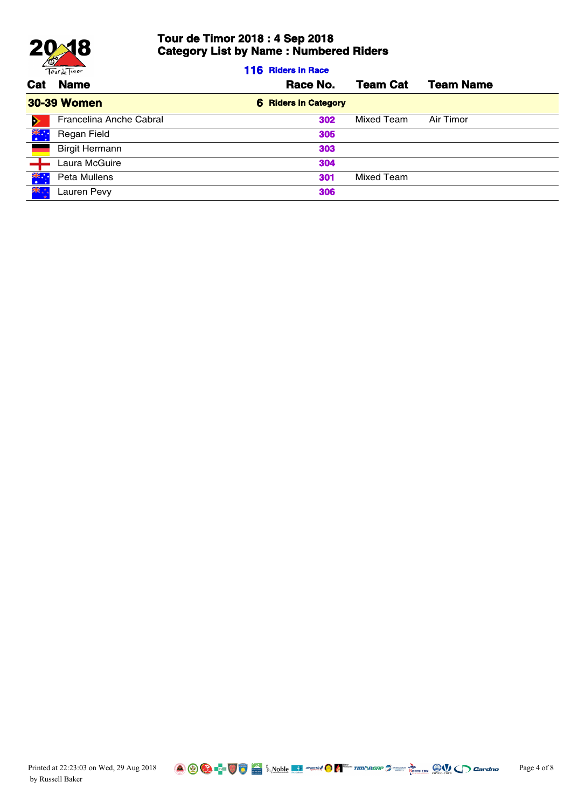

**116 Riders in Race**

| <b>Name</b>             | Race No.                    | <b>Team Cat</b> | <b>Team Name</b> |
|-------------------------|-----------------------------|-----------------|------------------|
| <b>30-39 Women</b>      | <b>6 Riders in Category</b> |                 |                  |
| Francelina Anche Cabral | 302                         | Mixed Team      | Air Timor        |
| Regan Field             | 305                         |                 |                  |
| <b>Birgit Hermann</b>   | 303                         |                 |                  |
| Laura McGuire           | 304                         |                 |                  |
| Peta Mullens            | 301                         | Mixed Team      |                  |
| Lauren Pevy             | 306                         |                 |                  |
|                         |                             |                 |                  |

Printed at 22:23:03 on Wed, 29 Aug 2018 **Page 4 of 8** Page 4 of 8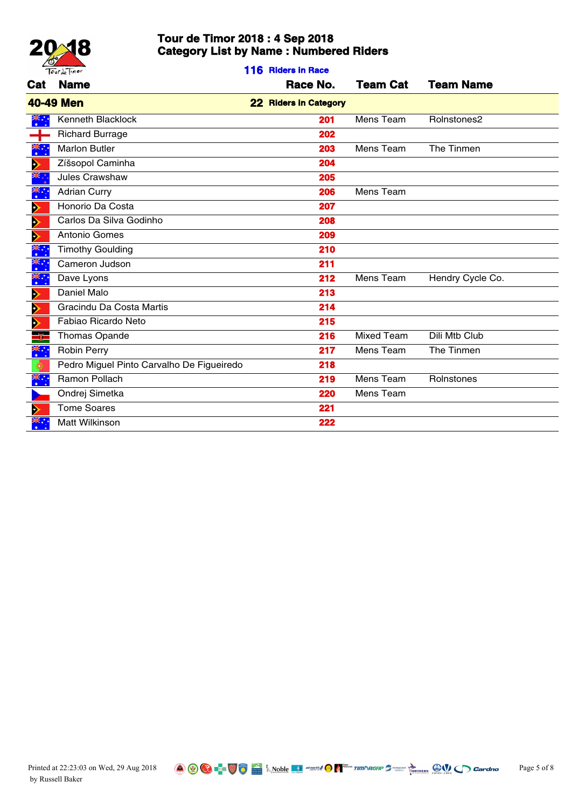

**116 Riders in Race**

| Cat                   | <b>Name</b>                               | Race No.              | <b>Team Cat</b>   | <b>Team Name</b> |
|-----------------------|-------------------------------------------|-----------------------|-------------------|------------------|
|                       | <b>40-49 Men</b>                          | 22 Riders in Category |                   |                  |
| ҉                     | Kenneth Blacklock                         | 201                   | Mens Team         | Rolnstones2      |
| ┿                     | <b>Richard Burrage</b>                    | 202                   |                   |                  |
| ҉                     | <b>Marlon Butler</b>                      | 203                   | Mens Team         | The Tinmen       |
| $\blacktriangleright$ | Zíšsopol Caminha                          | 204                   |                   |                  |
| ≫k°.                  | Jules Crawshaw                            | 205                   |                   |                  |
| ҉                     | <b>Adrian Curry</b>                       | 206                   | Mens Team         |                  |
| $\blacktriangleright$ | Honorio Da Costa                          | 207                   |                   |                  |
| $\blacktriangleright$ | Carlos Da Silva Godinho                   | 208                   |                   |                  |
| $\blacktriangleright$ | Antonio Gomes                             | 209                   |                   |                  |
| ▓                     | <b>Timothy Goulding</b>                   | 210                   |                   |                  |
| ¥.                    | Cameron Judson                            | 211                   |                   |                  |
| ҉                     | Dave Lyons                                | 212                   | Mens Team         | Hendry Cycle Co. |
| $\blacktriangleright$ | Daniel Malo                               | 213                   |                   |                  |
| $\blacktriangleright$ | Gracindu Da Costa Martis                  | 214                   |                   |                  |
| $\blacktriangleright$ | Fabiao Ricardo Neto                       | 215                   |                   |                  |
| ٢Ē                    | Thomas Opande                             | 216                   | <b>Mixed Team</b> | Dili Mtb Club    |
| ҉                     | Robin Perry                               | 217                   | Mens Team         | The Tinmen       |
| ٥                     | Pedro Miguel Pinto Carvalho De Figueiredo | 218                   |                   |                  |
| ҉                     | Ramon Pollach                             | 219                   | Mens Team         | Rolnstones       |
|                       | Ondrej Simetka                            | 220                   | Mens Team         |                  |
| ⋗                     | <b>Tome Soares</b>                        | 221                   |                   |                  |
|                       | Matt Wilkinson                            | 222                   |                   |                  |

Printed at 22:23:03 on Wed, 29 Aug 2018 **Page 5 of 8** Page 1 **Page 1** Alternative **Page 1** Alternative **Page 1** Alternative **Page 1** Alternative **Page 1** Alternative **Page 1** Alternative **Page 1** Alternative **Page 1** Alte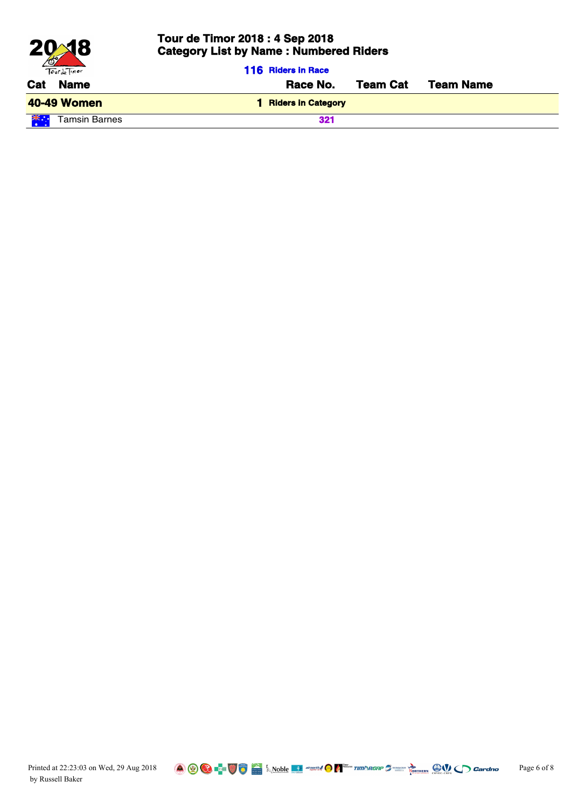

| Tourde Timor               | <b>116 Riders in Race</b> |                 |                  |
|----------------------------|---------------------------|-----------------|------------------|
| <b>Name</b><br>Cat         | Race No.                  | <b>Team Cat</b> | <b>Team Name</b> |
| <b>40-49 Women</b>         | <b>Riders in Category</b> |                 |                  |
| 兴"<br><b>Tamsin Barnes</b> | 321                       |                 |                  |

Printed at 22:23:03 on Wed, 29 Aug 2018 **Consumer Application Consumer 2** Page 6 of 8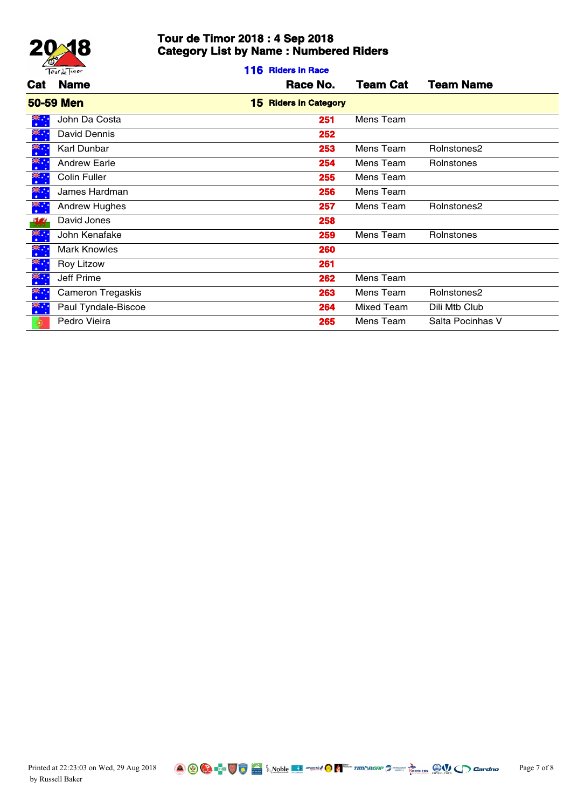

**116 Riders in Race**

| <b>50-59 Men</b><br><b>15 Riders in Category</b><br>John Da Costa<br>Mens Team<br>251<br>David Dennis<br>252<br>Karl Dunbar<br>253<br>Mens Team<br>Rolnstones2<br><b>Andrew Earle</b><br>254<br>Rolnstones<br>Mens Team<br>Colin Fuller<br>255<br>Mens Team<br>James Hardman<br>256<br>Mens Team<br><b>Andrew Hughes</b><br>257<br>Mens Team<br>Rolnstones2<br>258<br>David Jones<br>John Kenafake<br>259<br>Mens Team<br>Rolnstones<br><b>Mark Knowles</b><br>260<br>261<br>Roy Litzow<br>Jeff Prime<br>262<br>Mens Team<br>Cameron Tregaskis<br>263<br>Mens Team<br>Rolnstones2<br>Paul Tyndale-Biscoe<br>Mixed Team<br>Dili Mtb Club<br>264<br>Pedro Vieira<br>265<br>Salta Pocinhas V<br>Mens Team |                            | <b>Cat</b> Name | Race No. | <b>Team Cat</b> | <b>Team Name</b> |
|--------------------------------------------------------------------------------------------------------------------------------------------------------------------------------------------------------------------------------------------------------------------------------------------------------------------------------------------------------------------------------------------------------------------------------------------------------------------------------------------------------------------------------------------------------------------------------------------------------------------------------------------------------------------------------------------------------|----------------------------|-----------------|----------|-----------------|------------------|
|                                                                                                                                                                                                                                                                                                                                                                                                                                                                                                                                                                                                                                                                                                        |                            |                 |          |                 |                  |
|                                                                                                                                                                                                                                                                                                                                                                                                                                                                                                                                                                                                                                                                                                        | ҉                          |                 |          |                 |                  |
|                                                                                                                                                                                                                                                                                                                                                                                                                                                                                                                                                                                                                                                                                                        | ▓                          |                 |          |                 |                  |
|                                                                                                                                                                                                                                                                                                                                                                                                                                                                                                                                                                                                                                                                                                        | *∵.                        |                 |          |                 |                  |
|                                                                                                                                                                                                                                                                                                                                                                                                                                                                                                                                                                                                                                                                                                        | ▓∺                         |                 |          |                 |                  |
|                                                                                                                                                                                                                                                                                                                                                                                                                                                                                                                                                                                                                                                                                                        | ▓                          |                 |          |                 |                  |
|                                                                                                                                                                                                                                                                                                                                                                                                                                                                                                                                                                                                                                                                                                        | ▓⊹                         |                 |          |                 |                  |
|                                                                                                                                                                                                                                                                                                                                                                                                                                                                                                                                                                                                                                                                                                        | **:                        |                 |          |                 |                  |
|                                                                                                                                                                                                                                                                                                                                                                                                                                                                                                                                                                                                                                                                                                        | $\mathcal{L}_{\text{ext}}$ |                 |          |                 |                  |
|                                                                                                                                                                                                                                                                                                                                                                                                                                                                                                                                                                                                                                                                                                        | **∙.<br>∙                  |                 |          |                 |                  |
|                                                                                                                                                                                                                                                                                                                                                                                                                                                                                                                                                                                                                                                                                                        | ¥.                         |                 |          |                 |                  |
|                                                                                                                                                                                                                                                                                                                                                                                                                                                                                                                                                                                                                                                                                                        | ҉                          |                 |          |                 |                  |
|                                                                                                                                                                                                                                                                                                                                                                                                                                                                                                                                                                                                                                                                                                        | ҉                          |                 |          |                 |                  |
|                                                                                                                                                                                                                                                                                                                                                                                                                                                                                                                                                                                                                                                                                                        | ҉                          |                 |          |                 |                  |
|                                                                                                                                                                                                                                                                                                                                                                                                                                                                                                                                                                                                                                                                                                        | ▓᠅                         |                 |          |                 |                  |
|                                                                                                                                                                                                                                                                                                                                                                                                                                                                                                                                                                                                                                                                                                        |                            |                 |          |                 |                  |

Printed at 22:23:03 on Wed, 29 Aug 2018 **Page 7 of 8** Page 7 of 8